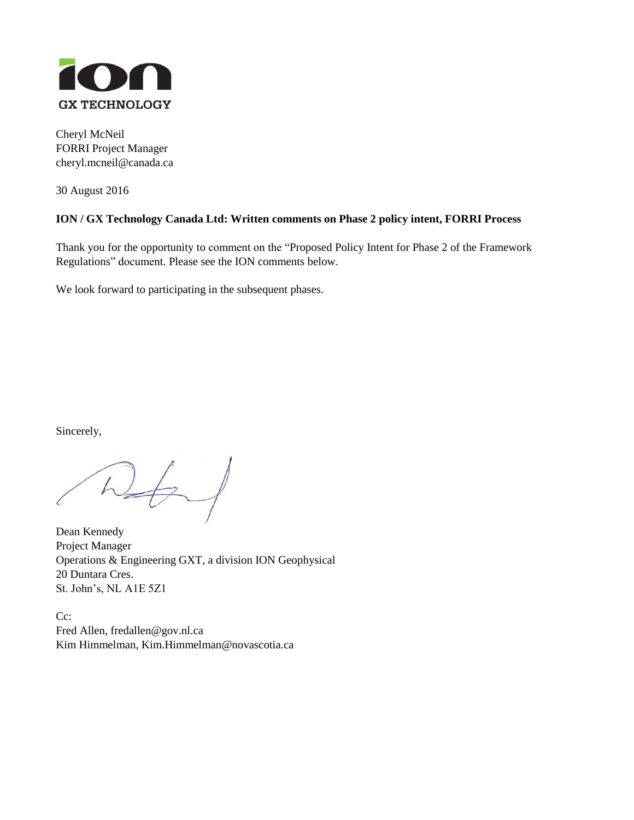

Cheryl McNeil FORRI Project Manager cheryl.mcneil@canada.ca

30 August 2016

## **ION / GX Technology Canada Ltd: Written comments on Phase 2 policy intent, FORRI Process**

Thank you for the opportunity to comment on the "Proposed Policy Intent for Phase 2 of the Framework Regulations" document. Please see the ION comments below.

We look forward to participating in the subsequent phases.

Sincerely,

 $n_{\rm f}$ 

Dean Kennedy Project Manager Operations & Engineering GXT, a division ION Geophysical 20 Duntara Cres. St. John's, NL A1E 5Z1

Cc: Fred Allen, fredallen@gov.nl.ca Kim Himmelman, Kim.Himmelman@novascotia.ca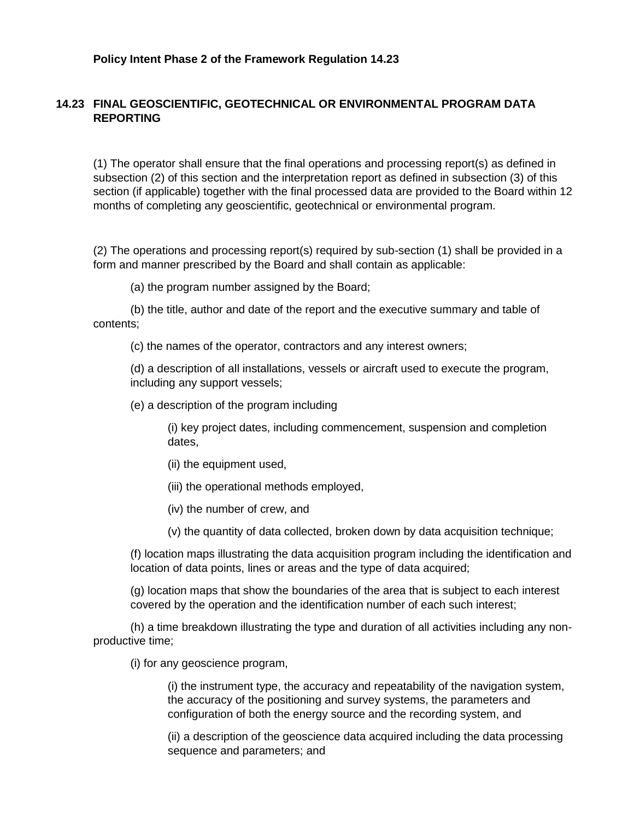## **14.23 FINAL GEOSCIENTIFIC, GEOTECHNICAL OR ENVIRONMENTAL PROGRAM DATA REPORTING**

(1) The operator shall ensure that the final operations and processing report(s) as defined in subsection (2) of this section and the interpretation report as defined in subsection (3) of this section (if applicable) together with the final processed data are provided to the Board within 12 months of completing any geoscientific, geotechnical or environmental program.

(2) The operations and processing report(s) required by sub-section (1) shall be provided in a form and manner prescribed by the Board and shall contain as applicable:

(a) the program number assigned by the Board;

(b) the title, author and date of the report and the executive summary and table of contents;

(c) the names of the operator, contractors and any interest owners;

(d) a description of all installations, vessels or aircraft used to execute the program, including any support vessels;

(e) a description of the program including

(i) key project dates, including commencement, suspension and completion dates,

- (ii) the equipment used,
- (iii) the operational methods employed,
- (iv) the number of crew, and
- (v) the quantity of data collected, broken down by data acquisition technique;

(f) location maps illustrating the data acquisition program including the identification and location of data points, lines or areas and the type of data acquired;

(g) location maps that show the boundaries of the area that is subject to each interest covered by the operation and the identification number of each such interest;

(h) a time breakdown illustrating the type and duration of all activities including any nonproductive time;

(i) for any geoscience program,

(i) the instrument type, the accuracy and repeatability of the navigation system, the accuracy of the positioning and survey systems, the parameters and configuration of both the energy source and the recording system, and

(ii) a description of the geoscience data acquired including the data processing sequence and parameters; and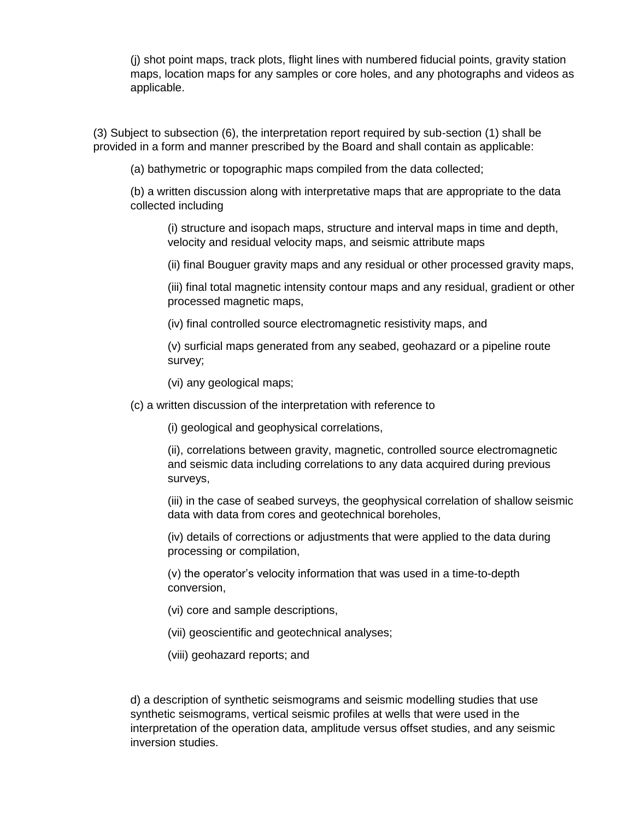(j) shot point maps, track plots, flight lines with numbered fiducial points, gravity station maps, location maps for any samples or core holes, and any photographs and videos as applicable.

(3) Subject to subsection (6), the interpretation report required by sub-section (1) shall be provided in a form and manner prescribed by the Board and shall contain as applicable:

(a) bathymetric or topographic maps compiled from the data collected;

(b) a written discussion along with interpretative maps that are appropriate to the data collected including

(i) structure and isopach maps, structure and interval maps in time and depth, velocity and residual velocity maps, and seismic attribute maps

(ii) final Bouguer gravity maps and any residual or other processed gravity maps,

(iii) final total magnetic intensity contour maps and any residual, gradient or other processed magnetic maps,

(iv) final controlled source electromagnetic resistivity maps, and

(v) surficial maps generated from any seabed, geohazard or a pipeline route survey;

(vi) any geological maps;

(c) a written discussion of the interpretation with reference to

(i) geological and geophysical correlations,

(ii), correlations between gravity, magnetic, controlled source electromagnetic and seismic data including correlations to any data acquired during previous surveys,

(iii) in the case of seabed surveys, the geophysical correlation of shallow seismic data with data from cores and geotechnical boreholes,

(iv) details of corrections or adjustments that were applied to the data during processing or compilation,

(v) the operator's velocity information that was used in a time-to-depth conversion,

(vi) core and sample descriptions,

(vii) geoscientific and geotechnical analyses;

(viii) geohazard reports; and

d) a description of synthetic seismograms and seismic modelling studies that use synthetic seismograms, vertical seismic profiles at wells that were used in the interpretation of the operation data, amplitude versus offset studies, and any seismic inversion studies.